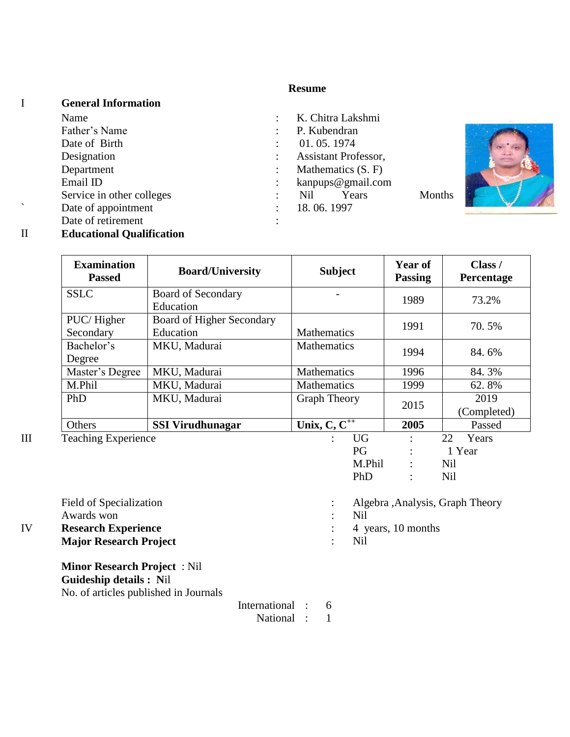### **Resume**

### I **General Information** Name : K. Chitra Lakshmi Father's Name : P. Kubendran Date of Birth : 01.05.1974 Designation : Assistant Professor, Department : Mathematics (S. F) Email ID : kanpups@gmail.com Service in other colleges : Nil Years Months Note of appointment : 18.06.1997 Date of retirement : II **Educational Qualification**



Field of Specialization : Algebra ,Analysis, Graph Theory Awards won : Nil IV **Research Experience** : 4 years, 10 months **Major Research Project** : Nil

**Minor Research Project** : Nil **Guideship details : N**il No. of articles published in Journals

International : 6

National : 1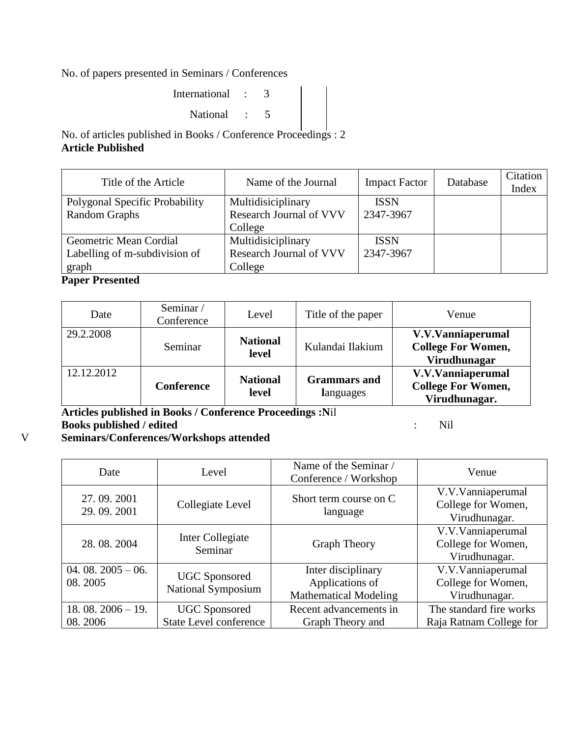No. of papers presented in Seminars / Conferences

| International : |  |  |  |
|-----------------|--|--|--|
| National :      |  |  |  |

No. of articles published in Books / Conference Proceedings : 2 **Article Published**

| Title of the Article           | Name of the Journal     | <b>Impact Factor</b> | Database | Citation<br>Index |
|--------------------------------|-------------------------|----------------------|----------|-------------------|
| Polygonal Specific Probability | Multidisiciplinary      | <b>ISSN</b>          |          |                   |
| <b>Random Graphs</b>           | Research Journal of VVV | 2347-3967            |          |                   |
|                                | College                 |                      |          |                   |
| Geometric Mean Cordial         | Multidisiciplinary      | <b>ISSN</b>          |          |                   |
| Labelling of m-subdivision of  | Research Journal of VVV | 2347-3967            |          |                   |
| graph                          | College                 |                      |          |                   |

## **Paper Presented**

| Date       | Seminar/<br>Conference | Level                    | Title of the paper               | Venue                                                           |
|------------|------------------------|--------------------------|----------------------------------|-----------------------------------------------------------------|
| 29.2.2008  | Seminar                | <b>National</b><br>level | Kulandai Ilakium                 | V.V.Vanniaperumal<br><b>College For Women,</b><br>Virudhunagar  |
| 12.12.2012 | Conference             | <b>National</b><br>level | <b>Grammars</b> and<br>languages | V.V.Vanniaperumal<br><b>College For Women,</b><br>Virudhunagar. |

**Articles published in Books / Conference Proceedings :N**il **Books published / edited** : Nil

V **Seminars/Conferences/Workshops attended**

| Date                          | Level                                          | Name of the Seminar /<br>Venue<br>Conference / Workshop               |                                                          |
|-------------------------------|------------------------------------------------|-----------------------------------------------------------------------|----------------------------------------------------------|
| 27.09.2001<br>29.09.2001      | Collegiate Level                               | Short term course on C<br>language                                    | V.V.Vanniaperumal<br>College for Women,<br>Virudhunagar. |
| 28.08.2004                    | Inter Collegiate<br>Seminar                    | <b>Graph Theory</b>                                                   | V.V.Vanniaperumal<br>College for Women,<br>Virudhunagar. |
| $04.08.2005 - 06.$<br>08.2005 | <b>UGC</b> Sponsored<br>National Symposium     | Inter disciplinary<br>Applications of<br><b>Mathematical Modeling</b> | V.V.Vanniaperumal<br>College for Women,<br>Virudhunagar. |
| $18.08.2006 - 19.$<br>08.2006 | <b>UGC</b> Sponsored<br>State Level conference | Recent advancements in<br>Graph Theory and                            | The standard fire works<br>Raja Ratnam College for       |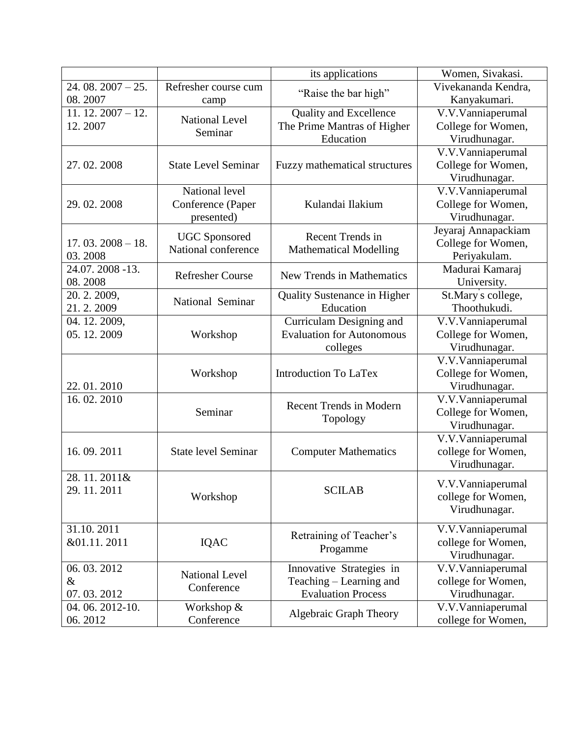|                    |                            | its applications                     | Women, Sivakasi.    |
|--------------------|----------------------------|--------------------------------------|---------------------|
| $24.08.2007 - 25.$ | Refresher course cum       |                                      | Vivekananda Kendra, |
| 08.2007            | camp                       | "Raise the bar high"                 | Kanyakumari.        |
| $11.12.2007 - 12.$ |                            | Quality and Excellence               | V.V.Vanniaperumal   |
| 12.2007            | <b>National Level</b>      | The Prime Mantras of Higher          | College for Women,  |
|                    | Seminar                    | Education                            | Virudhunagar.       |
|                    |                            |                                      | V.V.Vanniaperumal   |
| 27.02.2008         | <b>State Level Seminar</b> | <b>Fuzzy mathematical structures</b> | College for Women,  |
|                    |                            |                                      | Virudhunagar.       |
|                    | National level             |                                      | V.V.Vanniaperumal   |
| 29.02.2008         | Conference (Paper          | Kulandai Ilakium                     | College for Women,  |
|                    | presented)                 |                                      | Virudhunagar.       |
|                    |                            |                                      | Jeyaraj Annapackiam |
| $17.03.2008 - 18.$ | <b>UGC</b> Sponsored       | Recent Trends in                     | College for Women,  |
| 03.2008            | National conference        | <b>Mathematical Modelling</b>        | Periyakulam.        |
| 24.07.2008 -13.    |                            |                                      | Madurai Kamaraj     |
| 08.2008            | <b>Refresher Course</b>    | <b>New Trends in Mathematics</b>     | University.         |
| 20.2.2009,         |                            | <b>Quality Sustenance in Higher</b>  | St.Mary s college,  |
| 21.2.2009          | National Seminar           | Education                            | Thoothukudi.        |
| 04. 12. 2009,      |                            | Curriculam Designing and             | V.V.Vanniaperumal   |
| 05.12.2009         | Workshop                   | <b>Evaluation for Autonomous</b>     | College for Women,  |
|                    |                            | colleges                             | Virudhunagar.       |
|                    |                            |                                      | V.V.Vanniaperumal   |
|                    | Workshop                   | <b>Introduction To LaTex</b>         | College for Women,  |
| 22.01.2010         |                            |                                      | Virudhunagar.       |
| 16.02.2010         |                            |                                      | V.V.Vanniaperumal   |
|                    | Seminar                    | <b>Recent Trends in Modern</b>       | College for Women,  |
|                    |                            | Topology                             | Virudhunagar.       |
|                    |                            |                                      | V.V.Vanniaperumal   |
| 16.09.2011         | <b>State level Seminar</b> | <b>Computer Mathematics</b>          | college for Women,  |
|                    |                            |                                      | Virudhunagar.       |
| 28.11.2011&        |                            |                                      |                     |
| 29.11.2011         |                            | <b>SCILAB</b>                        | V.V.Vanniaperumal   |
|                    | Workshop                   |                                      | college for Women,  |
|                    |                            |                                      | Virudhunagar.       |
| 31.10.2011         |                            |                                      | V.V.Vanniaperumal   |
| &01.11.2011        | IQAC                       | Retraining of Teacher's              | college for Women,  |
|                    |                            | Progamme                             | Virudhunagar.       |
| 06.03.2012         | <b>National Level</b>      | Innovative Strategies in             | V.V.Vanniaperumal   |
| &                  | Conference                 | Teaching – Learning and              | college for Women,  |
| 07.03.2012         |                            | <b>Evaluation Process</b>            | Virudhunagar.       |
| 04.06.2012-10.     | Workshop &                 |                                      | V.V.Vanniaperumal   |
| 06.2012            | Conference                 | Algebraic Graph Theory               | college for Women,  |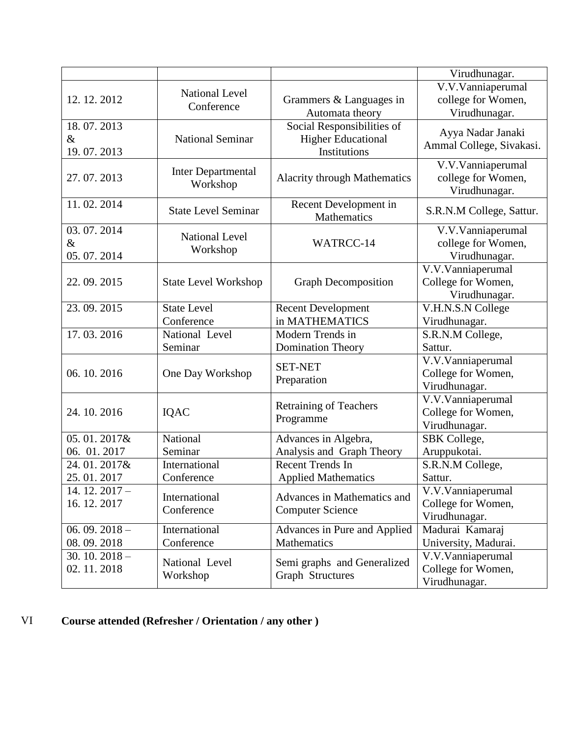|                                  |                                       |                                                                         | Virudhunagar.                                            |
|----------------------------------|---------------------------------------|-------------------------------------------------------------------------|----------------------------------------------------------|
| 12.12.2012                       | <b>National Level</b><br>Conference   | Grammers & Languages in<br>Automata theory                              | V.V.Vanniaperumal<br>college for Women,<br>Virudhunagar. |
| 18.07.2013<br>$\&$<br>19.07.2013 | <b>National Seminar</b>               | Social Responsibilities of<br><b>Higher Educational</b><br>Institutions | Ayya Nadar Janaki<br>Ammal College, Sivakasi.            |
| 27.07.2013                       | <b>Inter Departmental</b><br>Workshop | <b>Alacrity through Mathematics</b>                                     | V.V.Vanniaperumal<br>college for Women,<br>Virudhunagar. |
| 11.02.2014                       | <b>State Level Seminar</b>            | Recent Development in<br>Mathematics                                    | S.R.N.M College, Sattur.                                 |
| 03.07.2014<br>$\&$<br>05.07.2014 | <b>National Level</b><br>Workshop     | WATRCC-14                                                               | V.V.Vanniaperumal<br>college for Women,<br>Virudhunagar. |
| 22.09.2015                       | <b>State Level Workshop</b>           | <b>Graph Decomposition</b>                                              | V.V.Vanniaperumal<br>College for Women,<br>Virudhunagar. |
| 23.09.2015                       | <b>State Level</b><br>Conference      | <b>Recent Development</b><br>in MATHEMATICS                             | V.H.N.S.N College<br>Virudhunagar.                       |
| 17.03.2016                       | National Level<br>Seminar             | Modern Trends in<br><b>Domination Theory</b>                            | S.R.N.M College,<br>Sattur.                              |
| 06.10.2016                       | One Day Workshop                      | <b>SET-NET</b><br>Preparation                                           | V.V.Vanniaperumal<br>College for Women,<br>Virudhunagar. |
| 24.10.2016                       | IQAC                                  | <b>Retraining of Teachers</b><br>Programme                              | V.V.Vanniaperumal<br>College for Women,<br>Virudhunagar. |
| 05.01.2017&<br>06. 01. 2017      | National<br>Seminar                   | Advances in Algebra,<br>Analysis and Graph Theory                       | SBK College,<br>Aruppukotai.                             |
| 24.01.2017&<br>25.01.2017        | International<br>Conference           | Recent Trends In<br><b>Applied Mathematics</b>                          | S.R.N.M College,<br>Sattur.                              |
| $14.12.2017 -$<br>16.12.2017     | International<br>Conference           | Advances in Mathematics and<br><b>Computer Science</b>                  | V.V.Vanniaperumal<br>College for Women,<br>Virudhunagar. |
| 06.09.2018 $-$<br>08.09.2018     | International<br>Conference           | Advances in Pure and Applied<br>Mathematics                             | Madurai Kamaraj<br>University, Madurai.                  |
| $30.10.2018 -$<br>02.11.2018     | National Level<br>Workshop            | Semi graphs and Generalized<br><b>Graph Structures</b>                  | V.V.Vanniaperumal<br>College for Women,<br>Virudhunagar. |

# VI **Course attended (Refresher / Orientation / any other )**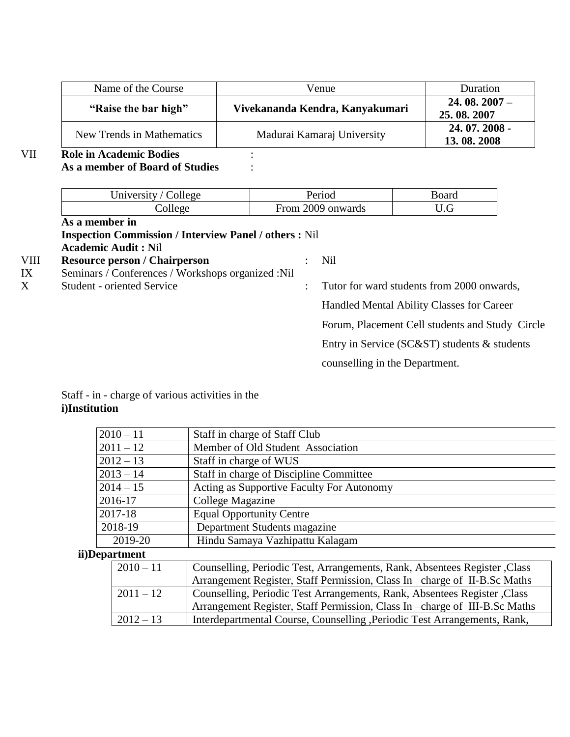| Name of the Course        | Venue                           | Duration                     |
|---------------------------|---------------------------------|------------------------------|
| "Raise the bar high"      | Vivekananda Kendra, Kanyakumari | $24.08.2007 -$<br>25.08.2007 |
| New Trends in Mathematics | Madurai Kamaraj University      | $24.07.2008 -$<br>13.08.2008 |

## VII **Role in Academic Bodies** : **As a member of Board of Studies** :

|      | University / College                                          |                | Period                         | Board                                           |  |
|------|---------------------------------------------------------------|----------------|--------------------------------|-------------------------------------------------|--|
|      | College                                                       |                | From 2009 onwards              | U.G                                             |  |
|      | As a member in                                                |                |                                |                                                 |  |
|      | <b>Inspection Commission / Interview Panel / others : Nil</b> |                |                                |                                                 |  |
|      | <b>Academic Audit: Nil</b>                                    |                |                                |                                                 |  |
| VIII | <b>Resource person / Chairperson</b>                          |                | Nil                            |                                                 |  |
| IX   | Seminars / Conferences / Workshops organized :Nil             |                |                                |                                                 |  |
| X    | <b>Student - oriented Service</b>                             | $\ddot{\cdot}$ |                                | Tutor for ward students from 2000 onwards,      |  |
|      |                                                               |                |                                | Handled Mental Ability Classes for Career       |  |
|      |                                                               |                |                                | Forum, Placement Cell students and Study Circle |  |
|      |                                                               |                |                                | Entry in Service (SC&ST) students & students    |  |
|      |                                                               |                | counselling in the Department. |                                                 |  |
|      |                                                               |                |                                |                                                 |  |

### Staff - in - charge of various activities in the **i)Institution**

|             | $2010 - 11$<br>Staff in charge of Staff Club                                             |                                                                           |  |
|-------------|------------------------------------------------------------------------------------------|---------------------------------------------------------------------------|--|
|             | Member of Old Student Association<br>$2011 - 12$                                         |                                                                           |  |
|             | $2012 - 13$<br>Staff in charge of WUS                                                    |                                                                           |  |
|             | $2013 - 14$                                                                              | Staff in charge of Discipline Committee                                   |  |
|             | $2014 - 15$                                                                              | Acting as Supportive Faculty For Autonomy                                 |  |
|             | 2016-17                                                                                  | College Magazine                                                          |  |
|             | 2017-18                                                                                  | <b>Equal Opportunity Centre</b>                                           |  |
|             | 2018-19                                                                                  | Department Students magazine                                              |  |
|             | Hindu Samaya Vazhipattu Kalagam<br>2019-20                                               |                                                                           |  |
|             | ii)Department                                                                            |                                                                           |  |
|             | $2010 - 11$                                                                              | Counselling, Periodic Test, Arrangements, Rank, Absentees Register, Class |  |
|             | Arrangement Register, Staff Permission, Class In -charge of II-B.Sc Maths                |                                                                           |  |
| $2011 - 12$ |                                                                                          | Counselling, Periodic Test Arrangements, Rank, Absentees Register, Class  |  |
|             | Arrangement Register, Staff Permission, Class In -charge of III-B.Sc Maths               |                                                                           |  |
|             | Interdepartmental Course, Counselling , Periodic Test Arrangements, Rank,<br>$2012 - 13$ |                                                                           |  |